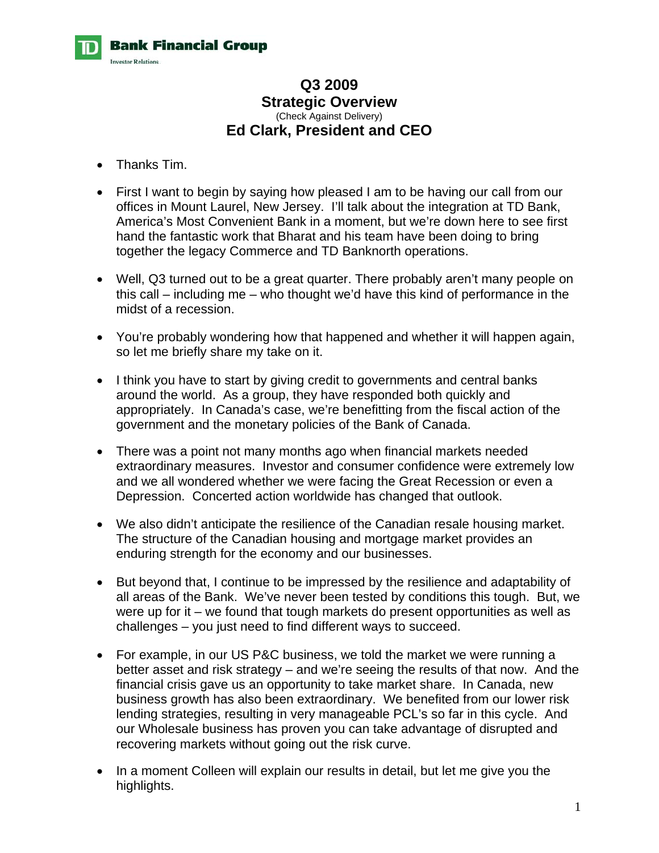

# **Q3 2009 Strategic Overview**  (Check Against Delivery) **Ed Clark, President and CEO**

- Thanks Tim.
- First I want to begin by saying how pleased I am to be having our call from our offices in Mount Laurel, New Jersey. I'll talk about the integration at TD Bank, America's Most Convenient Bank in a moment, but we're down here to see first hand the fantastic work that Bharat and his team have been doing to bring together the legacy Commerce and TD Banknorth operations.
- Well, Q3 turned out to be a great quarter. There probably aren't many people on this call – including me – who thought we'd have this kind of performance in the midst of a recession.
- You're probably wondering how that happened and whether it will happen again, so let me briefly share my take on it.
- I think you have to start by giving credit to governments and central banks around the world. As a group, they have responded both quickly and appropriately. In Canada's case, we're benefitting from the fiscal action of the government and the monetary policies of the Bank of Canada.
- There was a point not many months ago when financial markets needed extraordinary measures. Investor and consumer confidence were extremely low and we all wondered whether we were facing the Great Recession or even a Depression. Concerted action worldwide has changed that outlook.
- We also didn't anticipate the resilience of the Canadian resale housing market. The structure of the Canadian housing and mortgage market provides an enduring strength for the economy and our businesses.
- But beyond that, I continue to be impressed by the resilience and adaptability of all areas of the Bank. We've never been tested by conditions this tough. But, we were up for it – we found that tough markets do present opportunities as well as challenges – you just need to find different ways to succeed.
- For example, in our US P&C business, we told the market we were running a better asset and risk strategy – and we're seeing the results of that now. And the financial crisis gave us an opportunity to take market share. In Canada, new business growth has also been extraordinary. We benefited from our lower risk lending strategies, resulting in very manageable PCL's so far in this cycle. And our Wholesale business has proven you can take advantage of disrupted and recovering markets without going out the risk curve.
- In a moment Colleen will explain our results in detail, but let me give you the highlights.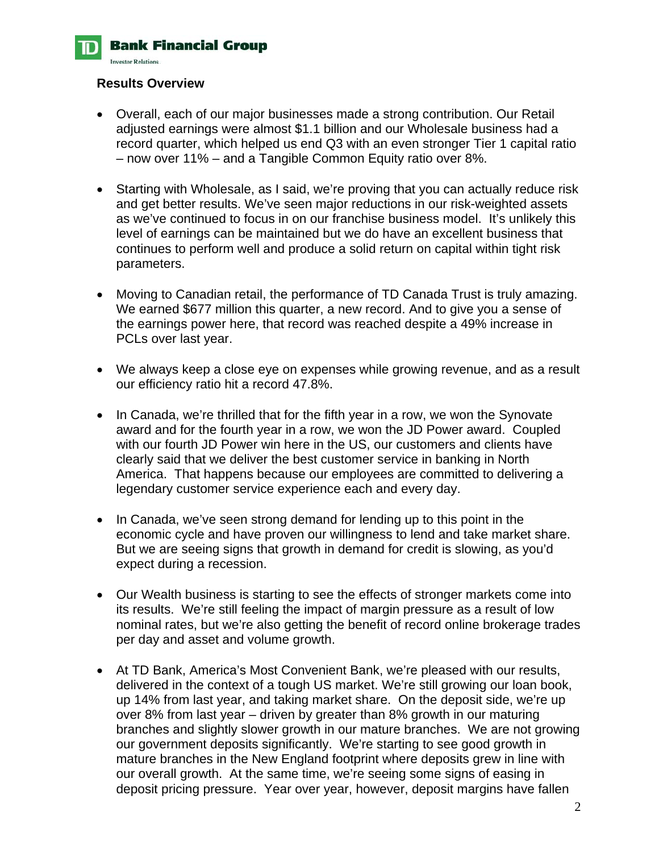**Bank Financial Group** 

**Investor Relations** 

#### **Results Overview**

- Overall, each of our major businesses made a strong contribution. Our Retail adjusted earnings were almost \$1.1 billion and our Wholesale business had a record quarter, which helped us end Q3 with an even stronger Tier 1 capital ratio – now over 11% – and a Tangible Common Equity ratio over 8%.
- Starting with Wholesale, as I said, we're proving that you can actually reduce risk and get better results. We've seen major reductions in our risk-weighted assets as we've continued to focus in on our franchise business model. It's unlikely this level of earnings can be maintained but we do have an excellent business that continues to perform well and produce a solid return on capital within tight risk parameters.
- Moving to Canadian retail, the performance of TD Canada Trust is truly amazing. We earned \$677 million this quarter, a new record. And to give you a sense of the earnings power here, that record was reached despite a 49% increase in PCLs over last year.
- We always keep a close eye on expenses while growing revenue, and as a result our efficiency ratio hit a record 47.8%.
- In Canada, we're thrilled that for the fifth year in a row, we won the Synovate award and for the fourth year in a row, we won the JD Power award. Coupled with our fourth JD Power win here in the US, our customers and clients have clearly said that we deliver the best customer service in banking in North America. That happens because our employees are committed to delivering a legendary customer service experience each and every day.
- In Canada, we've seen strong demand for lending up to this point in the economic cycle and have proven our willingness to lend and take market share. But we are seeing signs that growth in demand for credit is slowing, as you'd expect during a recession.
- Our Wealth business is starting to see the effects of stronger markets come into its results. We're still feeling the impact of margin pressure as a result of low nominal rates, but we're also getting the benefit of record online brokerage trades per day and asset and volume growth.
- At TD Bank, America's Most Convenient Bank, we're pleased with our results, delivered in the context of a tough US market. We're still growing our loan book, up 14% from last year, and taking market share. On the deposit side, we're up over 8% from last year – driven by greater than 8% growth in our maturing branches and slightly slower growth in our mature branches. We are not growing our government deposits significantly. We're starting to see good growth in mature branches in the New England footprint where deposits grew in line with our overall growth. At the same time, we're seeing some signs of easing in deposit pricing pressure. Year over year, however, deposit margins have fallen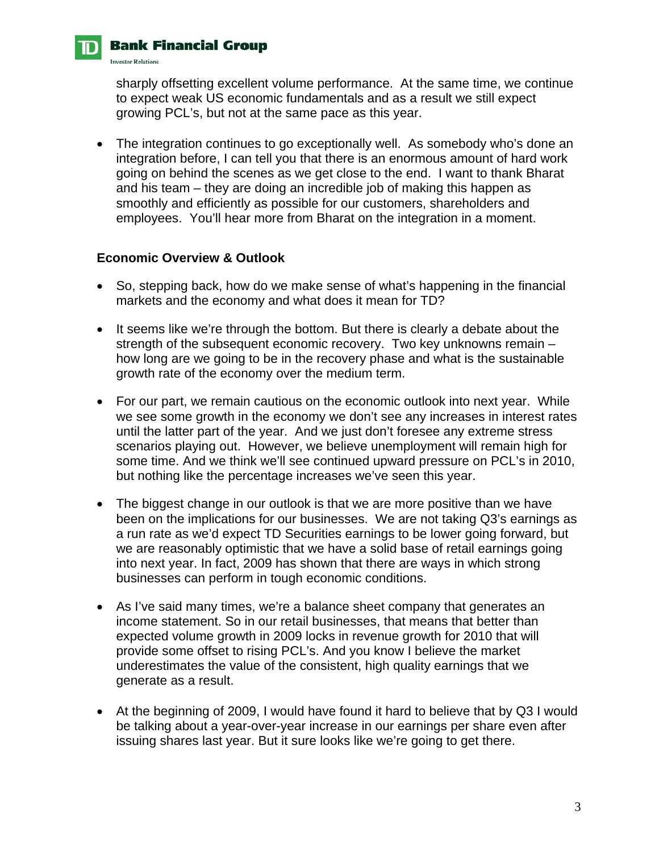# **Bank Financial Group**

**Investor Relations** 

sharply offsetting excellent volume performance. At the same time, we continue to expect weak US economic fundamentals and as a result we still expect growing PCL's, but not at the same pace as this year.

• The integration continues to go exceptionally well. As somebody who's done an integration before, I can tell you that there is an enormous amount of hard work going on behind the scenes as we get close to the end. I want to thank Bharat and his team – they are doing an incredible job of making this happen as smoothly and efficiently as possible for our customers, shareholders and employees. You'll hear more from Bharat on the integration in a moment.

# **Economic Overview & Outlook**

- So, stepping back, how do we make sense of what's happening in the financial markets and the economy and what does it mean for TD?
- It seems like we're through the bottom. But there is clearly a debate about the strength of the subsequent economic recovery. Two key unknowns remain – how long are we going to be in the recovery phase and what is the sustainable growth rate of the economy over the medium term.
- For our part, we remain cautious on the economic outlook into next year. While we see some growth in the economy we don't see any increases in interest rates until the latter part of the year. And we just don't foresee any extreme stress scenarios playing out. However, we believe unemployment will remain high for some time. And we think we'll see continued upward pressure on PCL's in 2010, but nothing like the percentage increases we've seen this year.
- The biggest change in our outlook is that we are more positive than we have been on the implications for our businesses. We are not taking Q3's earnings as a run rate as we'd expect TD Securities earnings to be lower going forward, but we are reasonably optimistic that we have a solid base of retail earnings going into next year. In fact, 2009 has shown that there are ways in which strong businesses can perform in tough economic conditions.
- As I've said many times, we're a balance sheet company that generates an income statement. So in our retail businesses, that means that better than expected volume growth in 2009 locks in revenue growth for 2010 that will provide some offset to rising PCL's. And you know I believe the market underestimates the value of the consistent, high quality earnings that we generate as a result.
- At the beginning of 2009, I would have found it hard to believe that by Q3 I would be talking about a year-over-year increase in our earnings per share even after issuing shares last year. But it sure looks like we're going to get there.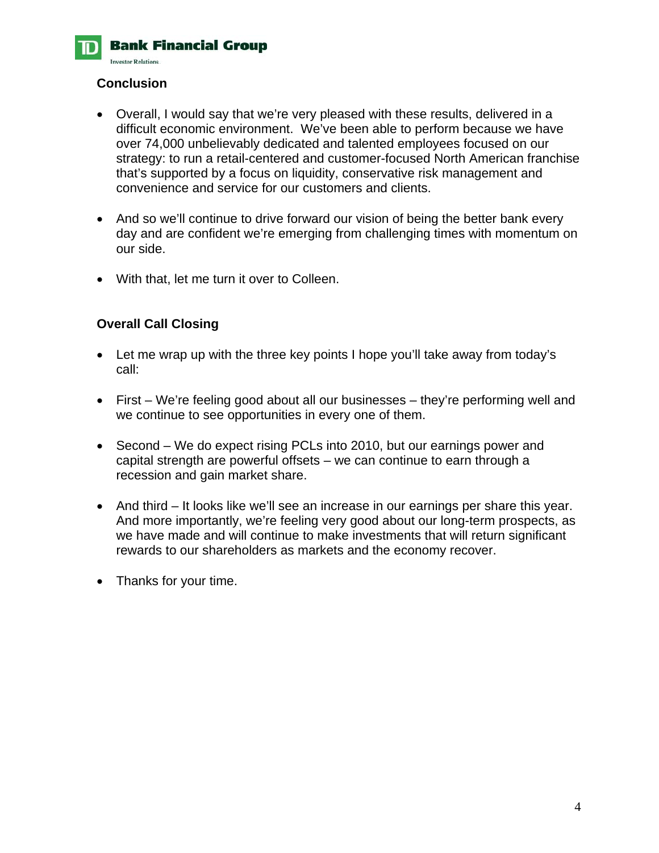**Bank Financial Group Investor Relations** 

### **Conclusion**

- Overall, I would say that we're very pleased with these results, delivered in a difficult economic environment. We've been able to perform because we have over 74,000 unbelievably dedicated and talented employees focused on our strategy: to run a retail-centered and customer-focused North American franchise that's supported by a focus on liquidity, conservative risk management and convenience and service for our customers and clients.
- And so we'll continue to drive forward our vision of being the better bank every day and are confident we're emerging from challenging times with momentum on our side.
- With that, let me turn it over to Colleen.

#### **Overall Call Closing**

- Let me wrap up with the three key points I hope you'll take away from today's call:
- First We're feeling good about all our businesses they're performing well and we continue to see opportunities in every one of them.
- Second We do expect rising PCLs into 2010, but our earnings power and capital strength are powerful offsets – we can continue to earn through a recession and gain market share.
- And third It looks like we'll see an increase in our earnings per share this year. And more importantly, we're feeling very good about our long-term prospects, as we have made and will continue to make investments that will return significant rewards to our shareholders as markets and the economy recover.
- Thanks for your time.